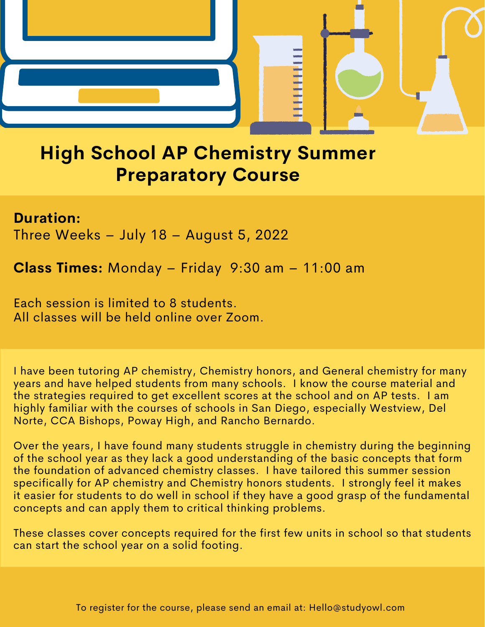

# **High School AP Chemistry Summer Preparatory Course**

### **Duration:**

Three Weeks – July 18 – August 5, 2022

**Class Times:** Monday – Friday 9:30 am – 11:00 am

Each session is limited to 8 students. All classes will be held online over Zoom.

I have been tutoring AP chemistry, Chemistry honors, and General chemistry for many years and have helped students from many schools. I know the course material and the strategies required to get excellent scores at the school and on AP tests. I am highly familiar with the courses of schools in San Diego, especially Westview, Del Norte, CCA Bishops, Poway High, and Rancho Bernardo.

Over the years, I have found many students struggle in chemistry during the beginning of the school year as they lack a good understanding of the basic concepts that form the foundation of advanced chemistry classes. I have tailored this summer session specifically for AP chemistry and Chemistry honors students. I strongly feel it makes it easier for students to do well in school if they have a good grasp of the fundamental concepts and can apply them to critical thinking problems.

These classes cover concepts required for the first few units in school so that students can start the school year on a solid footing.